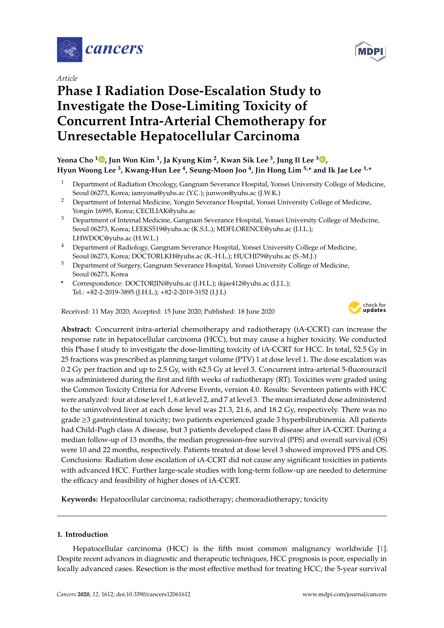

*Article*

# **Phase I Radiation Dose-Escalation Study to Investigate the Dose-Limiting Toxicity of Concurrent Intra-Arterial Chemotherapy for Unresectable Hepatocellular Carcinoma**



# **Yeona Cho <sup>1</sup> [,](https://orcid.org/0000-0002-1202-0880) Jun Won Kim <sup>1</sup> , Ja Kyung Kim <sup>2</sup> , Kwan Sik Lee <sup>3</sup> , Jung Il Lee <sup>3</sup> [,](https://orcid.org/0000-0002-0142-1398) Hyun Woong Lee <sup>3</sup> , Kwang-Hun Lee <sup>4</sup> , Seung-Moon Joo <sup>4</sup> , Jin Hong Lim 5,\* and Ik Jae Lee 1,\***

- <sup>1</sup> Department of Radiation Oncology, Gangnam Severance Hospital, Yonsei University College of Medicine, Seoul 06273, Korea; iamyona@yuhs.ac (Y.C.); junwon@yuhs.ac (J.W.K.)
- <sup>2</sup> Department of Internal Medicine, Yongin Severance Hospital, Yonsei University College of Medicine, Yongin 16995, Korea; CECILIAK@yuhs.ac
- <sup>3</sup> Department of Internal Medicine, Gangnam Severance Hospital, Yonsei University College of Medicine, Seoul 06273, Korea; LEEKS519@yuhs.ac (K.S.L.); MDFLORENCE@yuhs.ac (J.I.L.); LHWDOC@yuhs.ac (H.W.L.)
- <sup>4</sup> Department of Radiology, Gangnam Severance Hospital, Yonsei University College of Medicine, Seoul 06273, Korea; DOCTORLKH@yuhs.ac (K.-H.L.); HUCHI79@yuhs.ac (S.-M.J.)
- <sup>5</sup> Department of Surgery, Gangnam Severance Hospital, Yonsei University College of Medicine, Seoul 06273, Korea
- **\*** Correspondence: DOCTORJIN@yuhs.ac (J.H.L.); ikjae412@yuhs.ac (I.J.L.); Tel.: +82-2-2019-3895 (J.H.L.); +82-2-2019-3152 (I.J.L)

Received: 11 May 2020; Accepted: 15 June 2020; Published: 18 June 2020



**Abstract:** Concurrent intra-arterial chemotherapy and radiotherapy (iA-CCRT) can increase the response rate in hepatocellular carcinoma (HCC), but may cause a higher toxicity. We conducted this Phase I study to investigate the dose-limiting toxicity of iA-CCRT for HCC. In total, 52.5 Gy in 25 fractions was prescribed as planning target volume (PTV) 1 at dose level 1. The dose escalation was 0.2 Gy per fraction and up to 2.5 Gy, with 62.5 Gy at level 3. Concurrent intra-arterial 5-fluorouracil was administered during the first and fifth weeks of radiotherapy (RT). Toxicities were graded using the Common Toxicity Criteria for Adverse Events, version 4.0. Results: Seventeen patients with HCC were analyzed: four at dose level 1, 6 at level 2, and 7 at level 3. The mean irradiated dose administered to the uninvolved liver at each dose level was 21.3, 21.6, and 18.2 Gy, respectively. There was no grade ≥3 gastrointestinal toxicity; two patients experienced grade 3 hyperbilirubinemia. All patients had Child-Pugh class A disease, but 3 patients developed class B disease after iA-CCRT. During a median follow-up of 13 months, the median progression-free survival (PFS) and overall survival (OS) were 10 and 22 months, respectively. Patients treated at dose level 3 showed improved PFS and OS. Conclusions: Radiation dose escalation of iA-CCRT did not cause any significant toxicities in patients with advanced HCC. Further large-scale studies with long-term follow-up are needed to determine the efficacy and feasibility of higher doses of iA-CCRT.

**Keywords:** Hepatocellular carcinoma; radiotherapy; chemoradiotherapy; toxicity

## **1. Introduction**

Hepatocellular carcinoma (HCC) is the fifth most common malignancy worldwide [\[1\]](#page-11-0). Despite recent advances in diagnostic and therapeutic techniques, HCC prognosis is poor, especially in locally advanced cases. Resection is the most effective method for treating HCC; the 5-year survival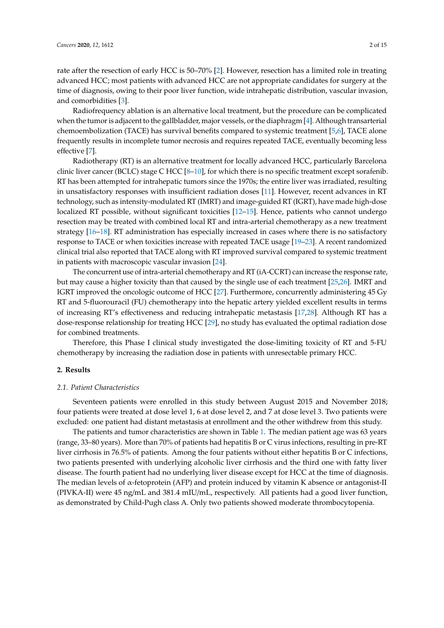rate after the resection of early HCC is 50–70% [\[2\]](#page-11-1). However, resection has a limited role in treating advanced HCC; most patients with advanced HCC are not appropriate candidates for surgery at the time of diagnosis, owing to their poor liver function, wide intrahepatic distribution, vascular invasion, and comorbidities [\[3\]](#page-11-2).

Radiofrequency ablation is an alternative local treatment, but the procedure can be complicated when the tumor is adjacent to the gallbladder, major vessels, or the diaphragm [\[4\]](#page-11-3). Although transarterial chemoembolization (TACE) has survival benefits compared to systemic treatment [\[5,](#page-11-4)[6\]](#page-11-5), TACE alone frequently results in incomplete tumor necrosis and requires repeated TACE, eventually becoming less effective [\[7\]](#page-11-6).

Radiotherapy (RT) is an alternative treatment for locally advanced HCC, particularly Barcelona clinic liver cancer (BCLC) stage C HCC [\[8](#page-11-7)-10], for which there is no specific treatment except sorafenib. RT has been attempted for intrahepatic tumors since the 1970s; the entire liver was irradiated, resulting in unsatisfactory responses with insufficient radiation doses [\[11\]](#page-11-9). However, recent advances in RT technology, such as intensity-modulated RT (IMRT) and image-guided RT (IGRT), have made high-dose localized RT possible, without significant toxicities [\[12](#page-11-10)[–15\]](#page-12-0). Hence, patients who cannot undergo resection may be treated with combined local RT and intra-arterial chemotherapy as a new treatment strategy [\[16](#page-12-1)[–18\]](#page-12-2). RT administration has especially increased in cases where there is no satisfactory response to TACE or when toxicities increase with repeated TACE usage [\[19](#page-12-3)[–23\]](#page-12-4). A recent randomized clinical trial also reported that TACE along with RT improved survival compared to systemic treatment in patients with macroscopic vascular invasion [\[24\]](#page-12-5).

The concurrent use of intra-arterial chemotherapy and RT (iA-CCRT) can increase the response rate, but may cause a higher toxicity than that caused by the single use of each treatment [\[25](#page-12-6)[,26\]](#page-12-7). IMRT and IGRT improved the oncologic outcome of HCC [\[27\]](#page-12-8). Furthermore, concurrently administering 45 Gy RT and 5-fluorouracil (FU) chemotherapy into the hepatic artery yielded excellent results in terms of increasing RT's effectiveness and reducing intrahepatic metastasis [\[17,](#page-12-9)[28\]](#page-12-10). Although RT has a dose-response relationship for treating HCC [\[29\]](#page-12-11), no study has evaluated the optimal radiation dose for combined treatments.

Therefore, this Phase I clinical study investigated the dose-limiting toxicity of RT and 5-FU chemotherapy by increasing the radiation dose in patients with unresectable primary HCC.

#### **2. Results**

#### *2.1. Patient Characteristics*

Seventeen patients were enrolled in this study between August 2015 and November 2018; four patients were treated at dose level 1, 6 at dose level 2, and 7 at dose level 3. Two patients were excluded: one patient had distant metastasis at enrollment and the other withdrew from this study.

The patients and tumor characteristics are shown in Table [1.](#page-2-0) The median patient age was 63 years (range, 33–80 years). More than 70% of patients had hepatitis B or C virus infections, resulting in pre-RT liver cirrhosis in 76.5% of patients. Among the four patients without either hepatitis B or C infections, two patients presented with underlying alcoholic liver cirrhosis and the third one with fatty liver disease. The fourth patient had no underlying liver disease except for HCC at the time of diagnosis. The median levels of  $\alpha$ -fetoprotein (AFP) and protein induced by vitamin K absence or antagonist-II (PIVKA-II) were 45 ng/mL and 381.4 mIU/mL, respectively. All patients had a good liver function, as demonstrated by Child-Pugh class A. Only two patients showed moderate thrombocytopenia.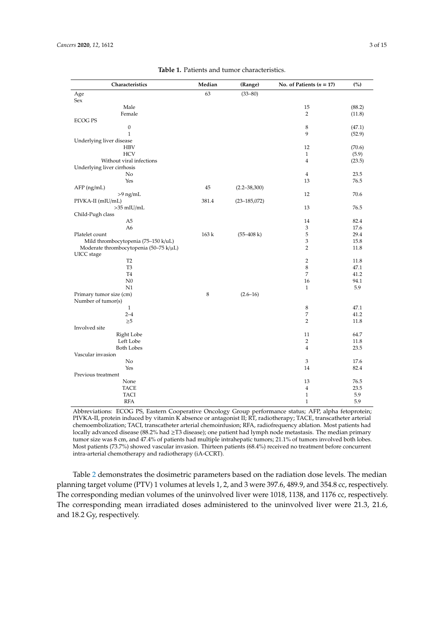<span id="page-2-0"></span>

| Characteristics                        | Median | (Range)           | No. of Patients $(n = 17)$ | (%)    |
|----------------------------------------|--------|-------------------|----------------------------|--------|
| Age                                    | 63     | $(33 - 80)$       |                            |        |
| Sex                                    |        |                   |                            |        |
| Male                                   |        |                   | 15                         | (88.2) |
| Female                                 |        |                   | 2                          | (11.8) |
| <b>ECOG PS</b>                         |        |                   |                            |        |
| 0                                      |        |                   | 8                          | (47.1) |
| $\,1$                                  |        |                   | 9                          | (52.9) |
| Underlying liver disease               |        |                   |                            |        |
| <b>HBV</b>                             |        |                   | 12                         | (70.6) |
| <b>HCV</b>                             |        |                   | $\mathbf{1}$               | (5.9)  |
| Without viral infections               |        |                   | $\overline{4}$             | (23.5) |
| Underlying liver cirrhosis             |        |                   |                            |        |
| No                                     |        |                   | $\overline{4}$             | 23.5   |
| Yes                                    |        |                   | 13                         | 76.5   |
| $AFP$ (ng/mL)                          | 45     | $(2.2 - 38, 300)$ |                            |        |
| $>9$ ng/mL                             |        |                   | 12                         | 70.6   |
| PIVKA-II (mIU/mL)                      | 381.4  | $(23 - 185, 072)$ |                            |        |
| $>35$ mIU/mL                           |        |                   | 13                         | 76.5   |
| Child-Pugh class                       |        |                   |                            |        |
| A5                                     |        |                   | 14                         | 82.4   |
| A <sub>6</sub>                         |        |                   | $\mathfrak z$              | 17.6   |
| Platelet count                         | 163k   | $(55-408 k)$      | 5                          | 29.4   |
| Mild thrombocytopenia (75-150 k/uL)    |        |                   | 3                          | 15.8   |
| Moderate thrombocytopenia (50-75 k/µL) |        |                   | $\overline{2}$             | 11.8   |
| UICC stage                             |        |                   |                            |        |
| T <sub>2</sub>                         |        |                   | $\overline{2}$             | 11.8   |
| T <sub>3</sub>                         |        |                   | 8                          | 47.1   |
| <b>T4</b>                              |        |                   | 7                          | 41.2   |
| N <sub>0</sub>                         |        |                   | 16                         | 94.1   |
| N1                                     |        |                   | $\mathbf{1}$               | 5.9    |
| Primary tumor size (cm)                | 8      | $(2.6 - 16)$      |                            |        |
| Number of tumor(s)                     |        |                   |                            |        |
| $\mathbf{1}$                           |        |                   | 8                          | 47.1   |
| $2 - 4$                                |        |                   | 7                          | 41.2   |
| $\geq 5$                               |        |                   | $\overline{2}$             | 11.8   |
| Involved site                          |        |                   |                            |        |
| Right Lobe                             |        |                   | 11                         | 64.7   |
| Left Lobe                              |        |                   | $\overline{2}$             | 11.8   |
| <b>Both Lobes</b>                      |        |                   | $\overline{4}$             | 23.5   |
| Vascular invasion                      |        |                   |                            |        |
| No                                     |        |                   | 3                          | 17.6   |
| Yes                                    |        |                   | 14                         | 82.4   |
| Previous treatment                     |        |                   |                            |        |
| None                                   |        |                   | 13                         | 76.5   |
| <b>TACE</b>                            |        |                   | $\overline{4}$             | 23.5   |
| TACI                                   |        |                   | $\,1\,$                    | 5.9    |
| RFA                                    |        |                   | $\mathbf{1}$               | 5.9    |

**Table 1.** Patients and tumor characteristics.

Abbreviations: ECOG PS, Eastern Cooperative Oncology Group performance status; AFP, alpha fetoprotein; PIVKA-II, protein induced by vitamin K absence or antagonist II; RT, radiotherapy; TACE, transcatheter arterial chemoembolization; TACI, transcatheter arterial chemoinfusion; RFA, radiofrequency ablation. Most patients had locally advanced disease (88.2% had ≥T3 disease); one patient had lymph node metastasis. The median primary tumor size was 8 cm, and 47.4% of patients had multiple intrahepatic tumors; 21.1% of tumors involved both lobes. Most patients (73.7%) showed vascular invasion. Thirteen patients (68.4%) received no treatment before concurrent intra-arterial chemotherapy and radiotherapy (iA-CCRT).

Table [2](#page-3-0) demonstrates the dosimetric parameters based on the radiation dose levels. The median planning target volume (PTV) 1 volumes at levels 1, 2, and 3 were 397.6, 489.9, and 354.8 cc, respectively. The corresponding median volumes of the uninvolved liver were 1018, 1138, and 1176 cc, respectively. The corresponding mean irradiated doses administered to the uninvolved liver were 21.3, 21.6, and 18.2 Gy, respectively.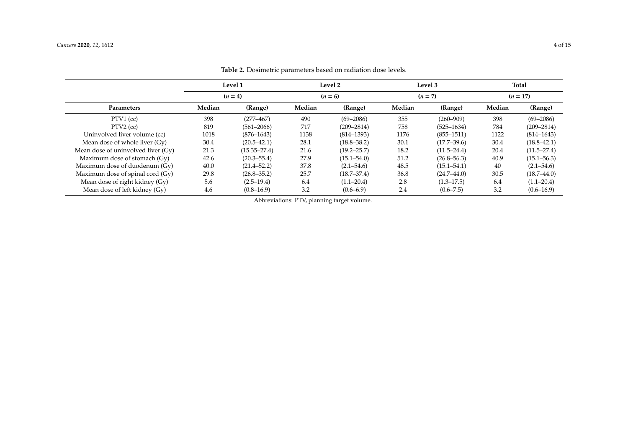<span id="page-3-0"></span>

|                                    | Level 1   |                  |        | Level 2         |        | Level 3         | Total      |                 |  |
|------------------------------------|-----------|------------------|--------|-----------------|--------|-----------------|------------|-----------------|--|
|                                    | $(n = 4)$ |                  |        | $(n = 6)$       |        | $(n = 7)$       | $(n = 17)$ |                 |  |
| Parameters                         | Median    | (Range)          | Median | (Range)         | Median | (Range)         | Median     | (Range)         |  |
| $PTV1$ (cc)                        | 398       | $(277 - 467)$    | 490    | $(69 - 2086)$   | 355    | $(260 - 909)$   | 398        | $(69 - 2086)$   |  |
| $PTV2$ (cc)                        | 819       | $(561 - 2066)$   | 717    | $(209 - 2814)$  | 758    | $(525 - 1634)$  | 784        | $(209 - 2814)$  |  |
| Uninvolved liver volume (cc)       | 1018      | $(876 - 1643)$   | 1138   | $(814 - 1393)$  | 1176   | $(855 - 1511)$  | 1122       | $(814 - 1643)$  |  |
| Mean dose of whole liver (Gy)      | 30.4      | $(20.5 - 42.1)$  | 28.1   | $(18.8 - 38.2)$ | 30.1   | $(17.7 - 39.6)$ | 30.4       | $(18.8 - 42.1)$ |  |
| Mean dose of uninvolved liver (Gy) | 21.3      | $(15.35 - 27.4)$ | 21.6   | $(19.2 - 25.7)$ | 18.2   | $(11.5 - 24.4)$ | 20.4       | $(11.5 - 27.4)$ |  |
| Maximum dose of stomach (Gy)       | 42.6      | $(20.3 - 55.4)$  | 27.9   | $(15.1 - 54.0)$ | 51.2   | $(26.8 - 56.3)$ | 40.9       | $(15.1 - 56.3)$ |  |
| Maximum dose of duodenum (Gy)      | 40.0      | $(21.4 - 52.2)$  | 37.8   | $(2.1 - 54.6)$  | 48.5   | $(15.1 - 54.1)$ | 40         | $(2.1 - 54.6)$  |  |
| Maximum dose of spinal cord (Gy)   | 29.8      | $(26.8 - 35.2)$  | 25.7   | $(18.7 - 37.4)$ | 36.8   | $(24.7 - 44.0)$ | 30.5       | $(18.7 - 44.0)$ |  |
| Mean dose of right kidney (Gy)     | 5.6       | $(2.5-19.4)$     | 6.4    | $(1.1 - 20.4)$  | 2.8    | $(1.3 - 17.5)$  | 6.4        | $(1.1 - 20.4)$  |  |
| Mean dose of left kidney (Gy)      | 4.6       | $(0.8-16.9)$     | 3.2    | $(0.6 - 6.9)$   | 2.4    | $(0.6 - 7.5)$   | 3.2        | $(0.6 - 16.9)$  |  |

**Table 2.** Dosimetric parameters based on radiation dose levels.

Abbreviations: PTV, planning target volume.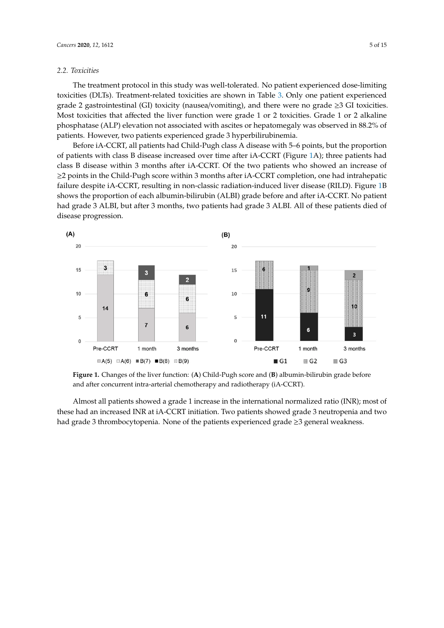# *2.2. Toxicities 2.2. Toxicities*

The treatment protocol in this study was well-tolerated. No patient experienced dose-limiting The treatment protocol in this study was well-tolerated. No patient experienced dose-limiting toxicities (DLTs). Treatment-related toxicities are shown in Table [3.](#page-5-0) Only one patient experienced toxicities (DLTs). Treatment-related toxicities are shown in Table 3. Only one patient experienced grade 2 gastrointestinal (GI) toxicity (nausea/vomiting), and there were no grade ≥3 GI toxicities. grade 2 gastrointestinal (GI) toxicity (nausea/vomiting), and there were no grade ≥3 GI toxicities. Most toxicities that affected the liver function were grade 1 or 2 toxicities. Grade 1 or 2 alkaline Most toxicities that affected the liver function were grade 1 or 2 toxicities. Grade 1 or 2 alkaline phosphatase (ALP) elevation not associated with ascites or hepatomegaly was observed in 88.2% of phosphatase (ALP) elevation not associated with ascites or hepatomegaly was observed in 88.2% of patients. However, two patients experienced grade 3 hyperbilirubinemia. patients. However, two patients experienced grade 3 hyperbilirubinemia.

Before iA-CCRT, all patients had Child-Pugh class A disease with 5–6 points, but the proportion Before iA-CCRT, all patients had Child-Pugh class A disease with 5–6 points, but the proportion of patients with class B disease increased over time after iA-CCRT (Figure [1A](#page-4-0)); three patients had of patients with class B disease increased over time after iA-CCRT (Figure 1A); three patients had class B disease within 3 months after iA-CCRT. Of the two patients who showed an increase of ≥2 points in the Child-Pugh score within 3 months after iA-CCRT completion, one had intrahepatic failure despite iA-CCRT, resulting in non-classic radiation-induced liver disease (RILD). Figure [1B](#page-4-0) failure despite iA-CCRT, resulting in non-classic radiation-induced liver disease (RILD). Figure 1B shows the proportion of each albumin-bilirubin (ALBI) grade before and after iA-CCRT. No patient shows the proportion of each albumin-bilirubin (ALBI) grade before and after iA-CCRT. No patient had grade 3 ALBI, but after 3 months, two patients had grade 3 ALBI. All of these patients died of disease progression. disease progression.

<span id="page-4-0"></span>

and after concurrent intra-arterial chemotherapy and radiotherapy (iA-CCRT). **Figure 1.** Changes of the liver function: (**A**) Child-Pugh score and (**B**) albumin-bilirubin grade before

these had an increased INR at iA-CCRT initiation. Two patients showed grade 3 neutropenia and two had grade 3 thrombocytopenia. None of the patients experienced grade ≥3 general weakness. Almost all patients showed a grade 1 increase in the international normalized ratio (INR); most of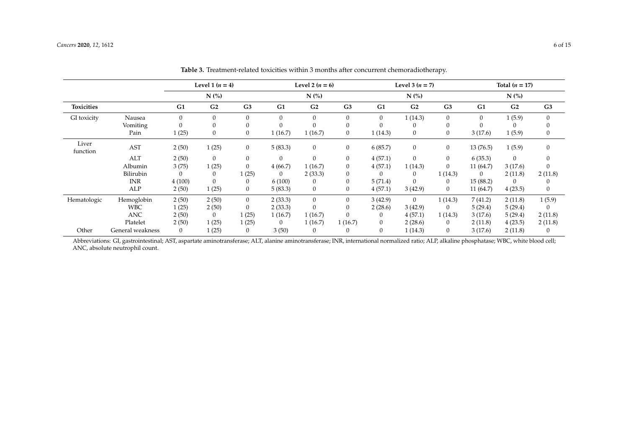|                   |                  | Level 1 $(n = 4)$ |                  | Level 2 $(n = 6)$ |         |                | Level 3 $(n = 7)$ |                |                                | Total $(n = 17)$ |              |                                        |                |
|-------------------|------------------|-------------------|------------------|-------------------|---------|----------------|-------------------|----------------|--------------------------------|------------------|--------------|----------------------------------------|----------------|
|                   |                  |                   | $N$ (%)          |                   |         | $N$ (%)        |                   |                | $N$ $\left(\frac{9}{6}\right)$ |                  |              | $N$ $\left(\frac{\%}{\text{O}}\right)$ |                |
| <b>Toxicities</b> |                  | G1                | G <sub>2</sub>   | G <sub>3</sub>    | G1      | G <sub>2</sub> | G <sub>3</sub>    | G1             | G <sub>2</sub>                 | G <sub>3</sub>   | G1           | G <sub>2</sub>                         | G <sub>3</sub> |
| GI toxicity       | Nausea           | $\Omega$          | $\theta$         | $\Omega$          | 0       | $\Omega$       | $\overline{0}$    | $\overline{0}$ | 1(14.3)                        | $\mathbf{0}$     | $\mathbf{0}$ | 1(5.9)                                 | $\mathbf{0}$   |
|                   | Vomiting         | $\Omega$          | $\theta$         | $\Omega$          | 0       |                | $\theta$          |                | $\left($                       | 0                |              |                                        | $\theta$       |
|                   | Pain             | 1(25)             | $\boldsymbol{0}$ | $\boldsymbol{0}$  | 1(16.7) | 1(16.7)        | $\overline{0}$    | 1(14.3)        | $\mathbf{0}$                   | $\mathbf{0}$     | 3(17.6)      | 1(5.9)                                 | 0              |
| Liver<br>function | <b>AST</b>       | 2(50)             | 1(25)            | $\mathbf{0}$      | 5(83.3) | $\mathbf{0}$   | $\mathbf{0}$      | 6(85.7)        | $\mathbf{0}$                   | $\mathbf{0}$     | 13(76.5)     | 1(5.9)                                 | $\mathbf{0}$   |
|                   | ALT              | 2(50)             | $\mathbf{0}$     | $\boldsymbol{0}$  | 0       | 0              | $\mathbf{0}$      | 4(57.1)        | $\mathbf{0}$                   | $\mathbf{0}$     | 6(35.3)      | $\mathbf{0}$                           | $\theta$       |
|                   | Albumin          | 3(75)             | 1(25)            | $\boldsymbol{0}$  | 4(66.7) | 1(16.7)        | $\boldsymbol{0}$  | 4(57.1)        | 1(14.3)                        | $\boldsymbol{0}$ | 11(64.7)     | 3(17.6)                                | $\Omega$       |
|                   | Bilirubin        |                   | 0                | 1(25)             | 0       | 2(33.3)        | $\theta$          |                | 0                              | 1(14.3)          | $\bf{0}$     | 2(11.8)                                | 2(11.8)        |
|                   | <b>INR</b>       | 4(100)            | $\mathbf{0}$     | $\mathbf{0}$      | 6(100)  | 0              | $\theta$          | 5(71.4)        | $\theta$                       | $\mathbf{0}$     | 15 (88.2)    |                                        |                |
|                   | ALP              | 2(50)             | 1(25)            | $\boldsymbol{0}$  | 5(83.3) | $\mathbf{0}$   | $\mathbf{0}$      | 4(57.1)        | 3(42.9)                        | $\overline{0}$   | 11 (64.7)    | 4(23.5)                                | $\mathbf{0}$   |
| Hematologic       | Hemoglobin       | 2(50)             | 2(50)            | $\theta$          | 2(33.3) | $\mathbf{0}$   | $\overline{0}$    | 3(42.9)        | $\overline{0}$                 | 1(14.3)          | 7(41.2)      | 2(11.8)                                | 1(5.9)         |
|                   | <b>WBC</b>       | 1(25)             | 2(50)            | $\boldsymbol{0}$  | 2(33.3) | 0              | $\boldsymbol{0}$  | 2(28.6)        | 3(42.9)                        | $\overline{0}$   | 5(29.4)      | 5(29.4)                                | 0              |
|                   | <b>ANC</b>       | 2(50)             | $\bf{0}$         | 1(25)             | 1(16.7) | 1(16.7)        | 0                 | 0              | 4(57.1)                        | 1(14.3)          | 3(17.6)      | 5(29.4)                                | 2(11.8)        |
|                   | Platelet         | 2(50)             | 1(25)            | 1(25)             | 0       | 1(16.7)        | 1(16.7)           | $\theta$       | 2(28.6)                        | $\mathbf{0}$     | 2(11.8)      | 4(23.5)                                | 2(11.8)        |
| Other             | General weakness | $\mathbf{0}$      | 1(25)            | $\theta$          | 3(50)   | 0              | 0                 | $\theta$       | 1(14.3)                        | $\mathbf{0}$     | 3(17.6)      | 2(11.8)                                | 0              |

**Table 3.** Treatment-related toxicities within 3 months after concurrent chemoradiotherapy.

<span id="page-5-0"></span>Abbreviations: GI, gastrointestinal; AST, aspartate aminotransferase; ALT, alanine aminotransferase; INR, international normalized ratio; ALP, alkaline phosphatase; WBC, white blood cell; ANC, absolute neutrophil count.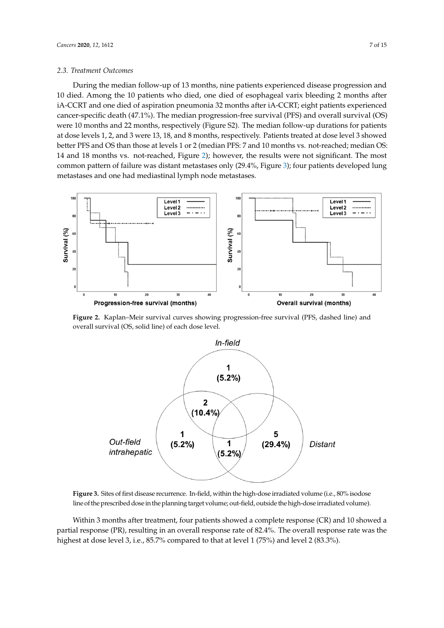#### 2.3. Treatment Outcomes **and 22 months and 22 months and 22** months and 22 months for patients for patients for patients for patients and 22 months and 22 months and 22 months and 22 months and 22 months are also and 22 mo  $10.2 \text{ F}$  bleed, one died of esophageal variation  $\Omega$ CC. The and one difference  $\alpha$ -CCRT and  $\alpha$ -CCRT; eight patients experienced patients experienced patients experienced patients experienced patients experienced patients experienced patients experienced patients experien

During the median follow-up of 13 months, nine patients experienced disease progression and 10 died. Among the 10 patients who died, one died of esophageal varix bleeding 2 months after iA-CCRT and one died of aspiration pneumonia 32 months after iA-CCRT; eight patients experienced cancer-specific death (47.1%). The median progression-free survival (PFS) and overall survival (OS) cancer-specific death (47.1%). The median progression-free survival (PFS) and overall survival (OS) were 10 months and 22 months, respectively (Figure S2). The median follow-up durations for patients at dose levels 1, 2, and 3 were 13, 18, and 8 months, respectively. Patients treated at dose level 3 showed better PFS and OS than those at levels 1 or 2 (median PFS: 7 and 10 months vs. not-reached; median OS: 14 and 18 months vs. not-reached, Figure 2); however, the results were not significant. The most common pattern of failure was distant metastases only (29.4%, Figure 3); four patients developed lung metastases and one had mediastinal lymph node metastases.

<span id="page-6-0"></span>

<span id="page-6-1"></span>overall survival (OS, solid line) of each dose level. **Figure 2.** Kaplan–Meir survival curves showing progression-free survival (PFS, dashed line) and



line of the prescribed dose in the planning target volume; out-field, outside the high-dose irradiated volume). **Figure 3.** Sites of first disease recurrence. In-field, within the high-dose irradiated volume (i.e., 80% isodose

partial response (PR), resulting in an overall response rate of 82.4%. The overall response rate was the isodose line of the prescribed dose in the planning target volume; outside the planning target volume;  $\frac{1}{2}$  (eq. 20) highest at dose level 3, i.e., 85.7% compared to that at level  $1$  (75%) and level  $2$  (83.3%). Within 3 months after treatment, four patients showed a complete response (CR) and 10 showed a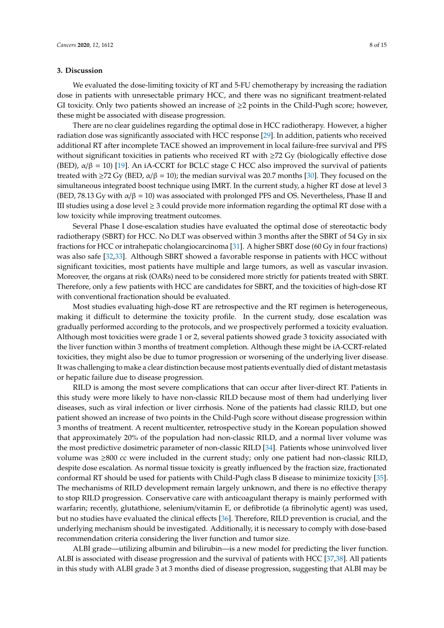#### **3. Discussion**

We evaluated the dose-limiting toxicity of RT and 5-FU chemotherapy by increasing the radiation dose in patients with unresectable primary HCC, and there was no significant treatment-related GI toxicity. Only two patients showed an increase of  $\geq 2$  points in the Child-Pugh score; however, these might be associated with disease progression.

There are no clear guidelines regarding the optimal dose in HCC radiotherapy. However, a higher radiation dose was significantly associated with HCC response [\[29\]](#page-12-11). In addition, patients who received additional RT after incomplete TACE showed an improvement in local failure-free survival and PFS without significant toxicities in patients who received RT with ≥72 Gy (biologically effective dose (BED),  $\alpha/\beta = 10$  [\[19\]](#page-12-3). An iA-CCRT for BCLC stage C HCC also improved the survival of patients treated with  $\geq$ 72 Gy (BED,  $\alpha/\beta$  = 10); the median survival was 20.7 months [\[30\]](#page-12-12). They focused on the simultaneous integrated boost technique using IMRT. In the current study, a higher RT dose at level 3 (BED, 78.13 Gy with  $\alpha/\beta = 10$ ) was associated with prolonged PFS and OS. Nevertheless, Phase II and III studies using a dose level  $\geq 3$  could provide more information regarding the optimal RT dose with a low toxicity while improving treatment outcomes.

Several Phase I dose-escalation studies have evaluated the optimal dose of stereotactic body radiotherapy (SBRT) for HCC. No DLT was observed within 3 months after the SBRT of 54 Gy in six fractions for HCC or intrahepatic cholangiocarcinoma [\[31\]](#page-13-0). A higher SBRT dose (60 Gy in four fractions) was also safe [\[32](#page-13-1)[,33\]](#page-13-2). Although SBRT showed a favorable response in patients with HCC without significant toxicities, most patients have multiple and large tumors, as well as vascular invasion. Moreover, the organs at risk (OARs) need to be considered more strictly for patients treated with SBRT. Therefore, only a few patients with HCC are candidates for SBRT, and the toxicities of high-dose RT with conventional fractionation should be evaluated.

Most studies evaluating high-dose RT are retrospective and the RT regimen is heterogeneous, making it difficult to determine the toxicity profile. In the current study, dose escalation was gradually performed according to the protocols, and we prospectively performed a toxicity evaluation. Although most toxicities were grade 1 or 2, several patients showed grade 3 toxicity associated with the liver function within 3 months of treatment completion. Although these might be iA-CCRT-related toxicities, they might also be due to tumor progression or worsening of the underlying liver disease. It was challenging to make a clear distinction because most patients eventually died of distant metastasis or hepatic failure due to disease progression.

RILD is among the most severe complications that can occur after liver-direct RT. Patients in this study were more likely to have non-classic RILD because most of them had underlying liver diseases, such as viral infection or liver cirrhosis. None of the patients had classic RILD, but one patient showed an increase of two points in the Child-Pugh score without disease progression within 3 months of treatment. A recent multicenter, retrospective study in the Korean population showed that approximately 20% of the population had non-classic RILD, and a normal liver volume was the most predictive dosimetric parameter of non-classic RILD [\[34\]](#page-13-3). Patients whose uninvolved liver volume was ≥800 cc were included in the current study; only one patient had non-classic RILD, despite dose escalation. As normal tissue toxicity is greatly influenced by the fraction size, fractionated conformal RT should be used for patients with Child-Pugh class B disease to minimize toxicity [\[35\]](#page-13-4). The mechanisms of RILD development remain largely unknown, and there is no effective therapy to stop RILD progression. Conservative care with anticoagulant therapy is mainly performed with warfarin; recently, glutathione, selenium/vitamin E, or defibrotide (a fibrinolytic agent) was used, but no studies have evaluated the clinical effects [\[36\]](#page-13-5). Therefore, RILD prevention is crucial, and the underlying mechanism should be investigated. Additionally, it is necessary to comply with dose-based recommendation criteria considering the liver function and tumor size.

ALBI grade—utilizing albumin and bilirubin—is a new model for predicting the liver function. ALBI is associated with disease progression and the survival of patients with HCC [\[37](#page-13-6)[,38\]](#page-13-7). All patients in this study with ALBI grade 3 at 3 months died of disease progression, suggesting that ALBI may be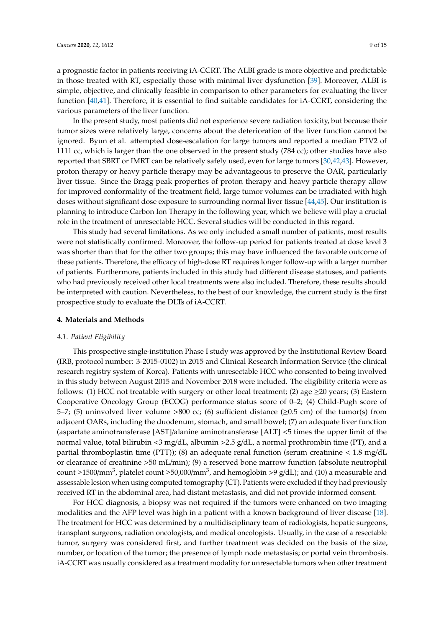a prognostic factor in patients receiving iA-CCRT. The ALBI grade is more objective and predictable in those treated with RT, especially those with minimal liver dysfunction [\[39\]](#page-13-8). Moreover, ALBI is simple, objective, and clinically feasible in comparison to other parameters for evaluating the liver function [\[40,](#page-13-9)[41\]](#page-13-10). Therefore, it is essential to find suitable candidates for iA-CCRT, considering the various parameters of the liver function.

In the present study, most patients did not experience severe radiation toxicity, but because their tumor sizes were relatively large, concerns about the deterioration of the liver function cannot be ignored. Byun et al. attempted dose-escalation for large tumors and reported a median PTV2 of 1111 cc, which is larger than the one observed in the present study (784 cc); other studies have also reported that SBRT or IMRT can be relatively safely used, even for large tumors [\[30,](#page-12-12)[42,](#page-13-11)[43\]](#page-13-12). However, proton therapy or heavy particle therapy may be advantageous to preserve the OAR, particularly liver tissue. Since the Bragg peak properties of proton therapy and heavy particle therapy allow for improved conformality of the treatment field, large tumor volumes can be irradiated with high doses without significant dose exposure to surrounding normal liver tissue [\[44](#page-13-13)[,45\]](#page-13-14). Our institution is planning to introduce Carbon Ion Therapy in the following year, which we believe will play a crucial role in the treatment of unresectable HCC. Several studies will be conducted in this regard.

This study had several limitations. As we only included a small number of patients, most results were not statistically confirmed. Moreover, the follow-up period for patients treated at dose level 3 was shorter than that for the other two groups; this may have influenced the favorable outcome of these patients. Therefore, the efficacy of high-dose RT requires longer follow-up with a larger number of patients. Furthermore, patients included in this study had different disease statuses, and patients who had previously received other local treatments were also included. Therefore, these results should be interpreted with caution. Nevertheless, to the best of our knowledge, the current study is the first prospective study to evaluate the DLTs of iA-CCRT.

#### **4. Materials and Methods**

#### *4.1. Patient Eligibility*

This prospective single-institution Phase I study was approved by the Institutional Review Board (IRB, protocol number: 3-2015-0102) in 2015 and Clinical Research Information Service (the clinical research registry system of Korea). Patients with unresectable HCC who consented to being involved in this study between August 2015 and November 2018 were included. The eligibility criteria were as follows: (1) HCC not treatable with surgery or other local treatment; (2) age  $\geq$ 20 years; (3) Eastern Cooperative Oncology Group (ECOG) performance status score of 0–2; (4) Child-Pugh score of 5–7; (5) uninvolved liver volume >800 cc; (6) sufficient distance ( $\geq$ 0.5 cm) of the tumor(s) from adjacent OARs, including the duodenum, stomach, and small bowel; (7) an adequate liver function (aspartate aminotransferase [AST]/alanine aminotransferase [ALT] <5 times the upper limit of the normal value, total bilirubin <3 mg/dL, albumin >2.5 g/dL, a normal prothrombin time (PT), and a partial thromboplastin time (PTT)); (8) an adequate renal function (serum creatinine < 1.8 mg/dL or clearance of creatinine >50 mL/min); (9) a reserved bone marrow function (absolute neutrophil count ≥1500/mm<sup>3</sup>, platelet count ≥50,000/mm<sup>3</sup>, and hemoglobin >9 g/dL); and (10) a measurable and assessable lesion when using computed tomography (CT). Patients were excluded if they had previously received RT in the abdominal area, had distant metastasis, and did not provide informed consent.

For HCC diagnosis, a biopsy was not required if the tumors were enhanced on two imaging modalities and the AFP level was high in a patient with a known background of liver disease [\[18\]](#page-12-2). The treatment for HCC was determined by a multidisciplinary team of radiologists, hepatic surgeons, transplant surgeons, radiation oncologists, and medical oncologists. Usually, in the case of a resectable tumor, surgery was considered first, and further treatment was decided on the basis of the size, number, or location of the tumor; the presence of lymph node metastasis; or portal vein thrombosis. iA-CCRT was usually considered as a treatment modality for unresectable tumors when other treatment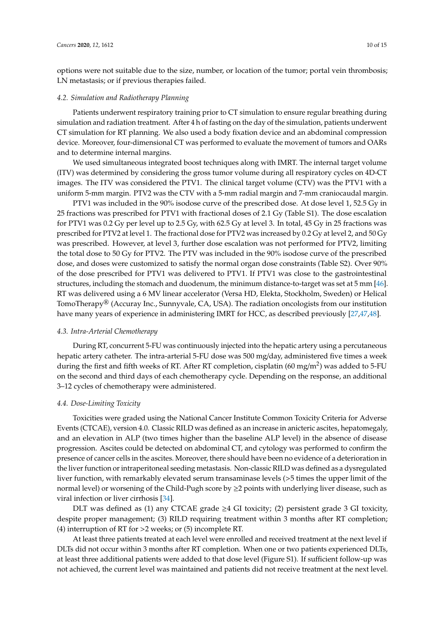options were not suitable due to the size, number, or location of the tumor; portal vein thrombosis; LN metastasis; or if previous therapies failed.

#### *4.2. Simulation and Radiotherapy Planning*

Patients underwent respiratory training prior to CT simulation to ensure regular breathing during simulation and radiation treatment. After 4 h of fasting on the day of the simulation, patients underwent CT simulation for RT planning. We also used a body fixation device and an abdominal compression device. Moreover, four-dimensional CT was performed to evaluate the movement of tumors and OARs and to determine internal margins.

We used simultaneous integrated boost techniques along with IMRT. The internal target volume (ITV) was determined by considering the gross tumor volume during all respiratory cycles on 4D-CT images. The ITV was considered the PTV1. The clinical target volume (CTV) was the PTV1 with a uniform 5-mm margin. PTV2 was the CTV with a 5-mm radial margin and 7-mm craniocaudal margin.

PTV1 was included in the 90% isodose curve of the prescribed dose. At dose level 1, 52.5 Gy in 25 fractions was prescribed for PTV1 with fractional doses of 2.1 Gy (Table S1). The dose escalation for PTV1 was 0.2 Gy per level up to 2.5 Gy, with 62.5 Gy at level 3. In total, 45 Gy in 25 fractions was prescribed for PTV2 at level 1. The fractional dose for PTV2 was increased by 0.2 Gy at level 2, and 50 Gy was prescribed. However, at level 3, further dose escalation was not performed for PTV2, limiting the total dose to 50 Gy for PTV2. The PTV was included in the 90% isodose curve of the prescribed dose, and doses were customized to satisfy the normal organ dose constraints (Table S2). Over 90% of the dose prescribed for PTV1 was delivered to PTV1. If PTV1 was close to the gastrointestinal structures, including the stomach and duodenum, the minimum distance-to-target was set at 5 mm [\[46\]](#page-13-15). RT was delivered using a 6 MV linear accelerator (Versa HD, Elekta, Stockholm, Sweden) or Helical TomoTherapy<sup>®</sup> (Accuray Inc., Sunnyvale, CA, USA). The radiation oncologists from our institution have many years of experience in administering IMRT for HCC, as described previously [\[27](#page-12-8)[,47](#page-14-0)[,48\]](#page-14-1).

#### *4.3. Intra-Arterial Chemotherapy*

During RT, concurrent 5-FU was continuously injected into the hepatic artery using a percutaneous hepatic artery catheter. The intra-arterial 5-FU dose was 500 mg/day, administered five times a week during the first and fifth weeks of RT. After RT completion, cisplatin (60 mg/m<sup>2</sup>) was added to 5-FU on the second and third days of each chemotherapy cycle. Depending on the response, an additional 3–12 cycles of chemotherapy were administered.

#### *4.4. Dose-Limiting Toxicity*

Toxicities were graded using the National Cancer Institute Common Toxicity Criteria for Adverse Events (CTCAE), version 4.0. Classic RILD was defined as an increase in anicteric ascites, hepatomegaly, and an elevation in ALP (two times higher than the baseline ALP level) in the absence of disease progression. Ascites could be detected on abdominal CT, and cytology was performed to confirm the presence of cancer cells in the ascites. Moreover, there should have been no evidence of a deterioration in the liver function or intraperitoneal seeding metastasis. Non-classic RILD was defined as a dysregulated liver function, with remarkably elevated serum transaminase levels (>5 times the upper limit of the normal level) or worsening of the Child-Pugh score by ≥2 points with underlying liver disease, such as viral infection or liver cirrhosis [\[34\]](#page-13-3).

DLT was defined as (1) any CTCAE grade  $\geq$ 4 GI toxicity; (2) persistent grade 3 GI toxicity, despite proper management; (3) RILD requiring treatment within 3 months after RT completion; (4) interruption of RT for >2 weeks; or (5) incomplete RT.

At least three patients treated at each level were enrolled and received treatment at the next level if DLTs did not occur within 3 months after RT completion. When one or two patients experienced DLTs, at least three additional patients were added to that dose level (Figure S1). If sufficient follow-up was not achieved, the current level was maintained and patients did not receive treatment at the next level.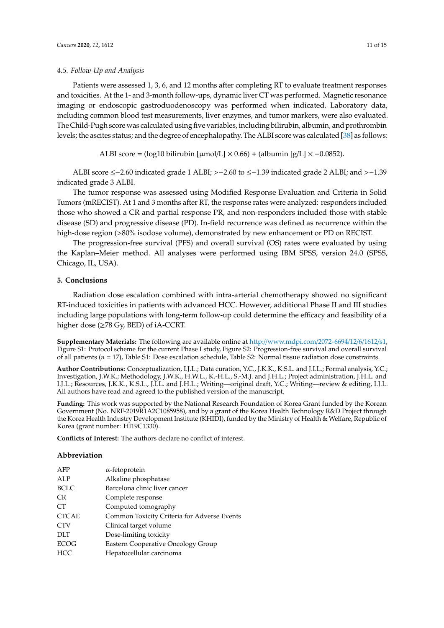#### *4.5. Follow-Up and Analysis*

Patients were assessed 1, 3, 6, and 12 months after completing RT to evaluate treatment responses and toxicities. At the 1- and 3-month follow-ups, dynamic liver CT was performed. Magnetic resonance imaging or endoscopic gastroduodenoscopy was performed when indicated. Laboratory data, including common blood test measurements, liver enzymes, and tumor markers, were also evaluated. The Child-Pugh score was calculated using five variables, including bilirubin, albumin, and prothrombin levels; the ascites status; and the degree of encephalopathy. The ALBI score was calculated [\[38\]](#page-13-7) as follows:

ALBI score = (log10 bilirubin [µmol/L]  $\times$  0.66) + (albumin [g/L]  $\times$  -0.0852).

ALBI score ≤−2.60 indicated grade 1 ALBI; >−2.60 to ≤−1.39 indicated grade 2 ALBI; and >−1.39 indicated grade 3 ALBI.

The tumor response was assessed using Modified Response Evaluation and Criteria in Solid Tumors (mRECIST). At 1 and 3 months after RT, the response rates were analyzed: responders included those who showed a CR and partial response PR, and non-responders included those with stable disease (SD) and progressive disease (PD). In-field recurrence was defined as recurrence within the high-dose region (>80% isodose volume), demonstrated by new enhancement or PD on RECIST.

The progression-free survival (PFS) and overall survival (OS) rates were evaluated by using the Kaplan–Meier method. All analyses were performed using IBM SPSS, version 24.0 (SPSS, Chicago, IL, USA).

### **5. Conclusions**

Radiation dose escalation combined with intra-arterial chemotherapy showed no significant RT-induced toxicities in patients with advanced HCC. However, additional Phase II and III studies including large populations with long-term follow-up could determine the efficacy and feasibility of a higher dose (≥78 Gy, BED) of iA-CCRT.

**Supplementary Materials:** The following are available online at http://[www.mdpi.com](http://www.mdpi.com/2072-6694/12/6/1612/s1)/2072-6694/12/6/1612/s1, Figure S1: Protocol scheme for the current Phase I study, Figure S2: Progression-free survival and overall survival of all patients (*n* = 17), Table S1: Dose escalation schedule, Table S2: Normal tissue radiation dose constraints.

**Author Contributions:** Conceptualization, I.J.L.; Data curation, Y.C., J.K.K., K.S.L. and J.I.L.; Formal analysis, Y.C.; Investigation, J.W.K.; Methodology, J.W.K., H.W.L., K.-H.L., S.-M.J. and J.H.L.; Project administration, J.H.L. and I.J.L.; Resources, J.K.K., K.S.L., J.I.L. and J.H.L.; Writing—original draft, Y.C.; Writing—review & editing, I.J.L. All authors have read and agreed to the published version of the manuscript.

**Funding:** This work was supported by the National Research Foundation of Korea Grant funded by the Korean Government (No. NRF-2019R1A2C1085958), and by a grant of the Korea Health Technology R&D Project through the Korea Health Industry Development Institute (KHIDI), funded by the Ministry of Health & Welfare, Republic of Korea (grant number: HI19C1330).

**Conflicts of Interest:** The authors declare no conflict of interest.

#### **Abbreviation**

| AFP          | $\alpha$ -fetoprotein                       |
|--------------|---------------------------------------------|
| ALP          | Alkaline phosphatase                        |
| <b>BCLC</b>  | Barcelona clinic liver cancer               |
| <b>CR</b>    | Complete response                           |
| CT.          | Computed tomography                         |
| <b>CTCAE</b> | Common Toxicity Criteria for Adverse Events |
| <b>CTV</b>   | Clinical target volume                      |
| <b>DLT</b>   | Dose-limiting toxicity                      |
| <b>ECOG</b>  | Eastern Cooperative Oncology Group          |
| HCC          | Hepatocellular carcinoma                    |
|              |                                             |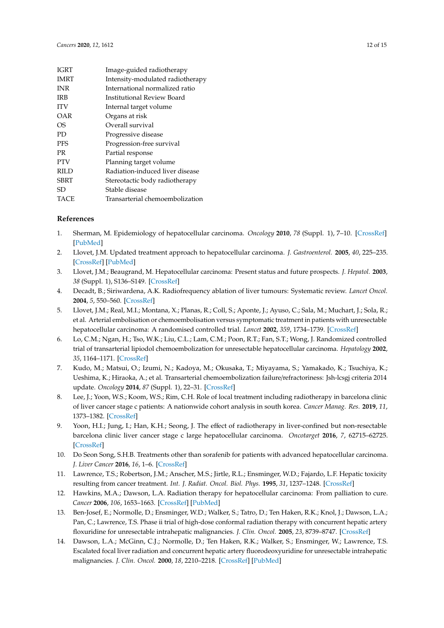| <b>IGRT</b> | Image-guided radiotherapy        |
|-------------|----------------------------------|
| <b>IMRT</b> | Intensity-modulated radiotherapy |
| <b>INR</b>  | International normalized ratio   |
| <b>IRB</b>  | Institutional Review Board       |
| <b>ITV</b>  | Internal target volume           |
| OAR         | Organs at risk                   |
| OS.         | Overall survival                 |
| PD.         | Progressive disease              |
| <b>PFS</b>  | Progression-free survival        |
| <b>PR</b>   | Partial response                 |
| <b>PTV</b>  | Planning target volume           |
| <b>RILD</b> | Radiation-induced liver disease  |
| <b>SBRT</b> | Stereotactic body radiotherapy   |
| SD          | Stable disease                   |
| TACE        | Transarterial chemoembolization  |

#### **References**

- <span id="page-11-0"></span>1. Sherman, M. Epidemiology of hepatocellular carcinoma. *Oncology* **2010**, *78* (Suppl. 1), 7–10. [\[CrossRef\]](http://dx.doi.org/10.1159/000315223) [\[PubMed\]](http://www.ncbi.nlm.nih.gov/pubmed/20616577)
- <span id="page-11-1"></span>2. Llovet, J.M. Updated treatment approach to hepatocellular carcinoma. *J. Gastroenterol.* **2005**, *40*, 225–235. [\[CrossRef\]](http://dx.doi.org/10.1007/s00535-005-1566-3) [\[PubMed\]](http://www.ncbi.nlm.nih.gov/pubmed/15830281)
- <span id="page-11-2"></span>3. Llovet, J.M.; Beaugrand, M. Hepatocellular carcinoma: Present status and future prospects. *J. Hepatol.* **2003**, *38* (Suppl. 1), S136–S149. [\[CrossRef\]](http://dx.doi.org/10.1016/S0168-8278(02)00432-4)
- <span id="page-11-3"></span>4. Decadt, B.; Siriwardena, A.K. Radiofrequency ablation of liver tumours: Systematic review. *Lancet Oncol.* **2004**, *5*, 550–560. [\[CrossRef\]](http://dx.doi.org/10.1016/S1470-2045(04)01567-0)
- <span id="page-11-4"></span>5. Llovet, J.M.; Real, M.I.; Montana, X.; Planas, R.; Coll, S.; Aponte, J.; Ayuso, C.; Sala, M.; Muchart, J.; Sola, R.; et al. Arterial embolisation or chemoembolisation versus symptomatic treatment in patients with unresectable hepatocellular carcinoma: A randomised controlled trial. *Lancet* **2002**, *359*, 1734–1739. [\[CrossRef\]](http://dx.doi.org/10.1016/S0140-6736(02)08649-X)
- <span id="page-11-5"></span>6. Lo, C.M.; Ngan, H.; Tso, W.K.; Liu, C.L.; Lam, C.M.; Poon, R.T.; Fan, S.T.; Wong, J. Randomized controlled trial of transarterial lipiodol chemoembolization for unresectable hepatocellular carcinoma. *Hepatology* **2002**, *35*, 1164–1171. [\[CrossRef\]](http://dx.doi.org/10.1053/jhep.2002.33156)
- <span id="page-11-6"></span>7. Kudo, M.; Matsui, O.; Izumi, N.; Kadoya, M.; Okusaka, T.; Miyayama, S.; Yamakado, K.; Tsuchiya, K.; Ueshima, K.; Hiraoka, A.; et al. Transarterial chemoembolization failure/refractoriness: Jsh-lcsgj criteria 2014 update. *Oncology* **2014**, *87* (Suppl. 1), 22–31. [\[CrossRef\]](http://dx.doi.org/10.1159/000368142)
- <span id="page-11-7"></span>8. Lee, J.; Yoon, W.S.; Koom, W.S.; Rim, C.H. Role of local treatment including radiotherapy in barcelona clinic of liver cancer stage c patients: A nationwide cohort analysis in south korea. *Cancer Manag. Res.* **2019**, *11*, 1373–1382. [\[CrossRef\]](http://dx.doi.org/10.2147/CMAR.S193761)
- 9. Yoon, H.I.; Jung, I.; Han, K.H.; Seong, J. The effect of radiotherapy in liver-confined but non-resectable barcelona clinic liver cancer stage c large hepatocellular carcinoma. *Oncotarget* **2016**, *7*, 62715–62725. [\[CrossRef\]](http://dx.doi.org/10.18632/oncotarget.10908)
- <span id="page-11-8"></span>10. Do Seon Song, S.H.B. Treatments other than sorafenib for patients with advanced hepatocellular carcinoma. *J. Liver Cancer* **2016**, *16*, 1–6. [\[CrossRef\]](http://dx.doi.org/10.17998/jlc.16.1.1)
- <span id="page-11-9"></span>11. Lawrence, T.S.; Robertson, J.M.; Anscher, M.S.; Jirtle, R.L.; Ensminger, W.D.; Fajardo, L.F. Hepatic toxicity resulting from cancer treatment. *Int. J. Radiat. Oncol. Biol. Phys.* **1995**, *31*, 1237–1248. [\[CrossRef\]](http://dx.doi.org/10.1016/0360-3016(94)00418-K)
- <span id="page-11-10"></span>12. Hawkins, M.A.; Dawson, L.A. Radiation therapy for hepatocellular carcinoma: From palliation to cure. *Cancer* **2006**, *106*, 1653–1663. [\[CrossRef\]](http://dx.doi.org/10.1002/cncr.21811) [\[PubMed\]](http://www.ncbi.nlm.nih.gov/pubmed/16541431)
- 13. Ben-Josef, E.; Normolle, D.; Ensminger, W.D.; Walker, S.; Tatro, D.; Ten Haken, R.K.; Knol, J.; Dawson, L.A.; Pan, C.; Lawrence, T.S. Phase ii trial of high-dose conformal radiation therapy with concurrent hepatic artery floxuridine for unresectable intrahepatic malignancies. *J. Clin. Oncol.* **2005**, *23*, 8739–8747. [\[CrossRef\]](http://dx.doi.org/10.1200/JCO.2005.01.5354)
- 14. Dawson, L.A.; McGinn, C.J.; Normolle, D.; Ten Haken, R.K.; Walker, S.; Ensminger, W.; Lawrence, T.S. Escalated focal liver radiation and concurrent hepatic artery fluorodeoxyuridine for unresectable intrahepatic malignancies. *J. Clin. Oncol.* **2000**, *18*, 2210–2218. [\[CrossRef\]](http://dx.doi.org/10.1200/JCO.2000.18.11.2210) [\[PubMed\]](http://www.ncbi.nlm.nih.gov/pubmed/10829040)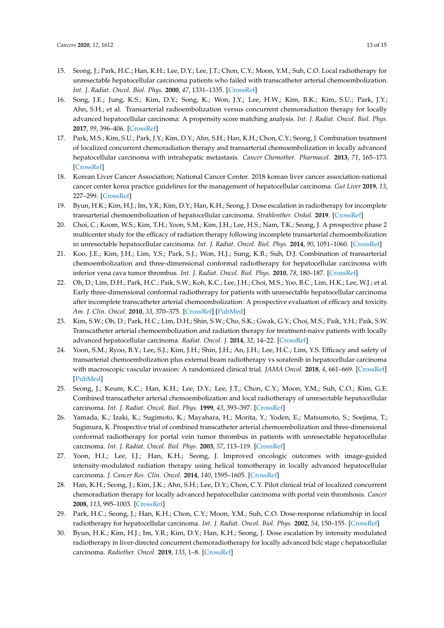- <span id="page-12-0"></span>15. Seong, J.; Park, H.C.; Han, K.H.; Lee, D.Y.; Lee, J.T.; Chon, C.Y.; Moon, Y.M.; Suh, C.O. Local radiotherapy for unresectable hepatocellular carcinoma patients who failed with transcatheter arterial chemoembolization. *Int. J. Radiat. Oncol. Biol. Phys.* **2000**, *47*, 1331–1335. [\[CrossRef\]](http://dx.doi.org/10.1016/S0360-3016(00)00519-8)
- <span id="page-12-1"></span>16. Song, J.E.; Jung, K.S.; Kim, D.Y.; Song, K.; Won, J.Y.; Lee, H.W.; Kim, B.K.; Kim, S.U.; Park, J.Y.; Ahn, S.H.; et al. Transarterial radioembolization versus concurrent chemoradiation therapy for locally advanced hepatocellular carcinoma: A propensity score matching analysis. *Int. J. Radiat. Oncol. Biol. Phys.* **2017**, *99*, 396–406. [\[CrossRef\]](http://dx.doi.org/10.1016/j.ijrobp.2017.05.049)
- <span id="page-12-9"></span>17. Park, M.S.; Kim, S.U.; Park, J.Y.; Kim, D.Y.; Ahn, S.H.; Han, K.H.; Chon, C.Y.; Seong, J. Combination treatment of localized concurrent chemoradiation therapy and transarterial chemoembolization in locally advanced hepatocellular carcinoma with intrahepatic metastasis. *Cancer Chemother. Pharmacol.* **2013**, *71*, 165–173. [\[CrossRef\]](http://dx.doi.org/10.1007/s00280-012-1993-9)
- <span id="page-12-2"></span>18. Korean Liver Cancer Association; National Cancer Center. 2018 korean liver cancer association-national cancer center korea practice guidelines for the management of hepatocellular carcinoma. *Gut Liver* **2019**, *13*, 227–299. [\[CrossRef\]](http://dx.doi.org/10.5009/gnl19024)
- <span id="page-12-3"></span>19. Byun, H.K.; Kim, H.J.; Im, Y.R.; Kim, D.Y.; Han, K.H.; Seong, J. Dose escalation in radiotherapy for incomplete transarterial chemoembolization of hepatocellular carcinoma. *Strahlenther. Onkol.* **2019**. [\[CrossRef\]](http://dx.doi.org/10.1016/j.ijrobp.2019.06.2060)
- 20. Choi, C.; Koom, W.S.; Kim, T.H.; Yoon, S.M.; Kim, J.H.; Lee, H.S.; Nam, T.K.; Seong, J. A prospective phase 2 multicenter study for the efficacy of radiation therapy following incomplete transarterial chemoembolization in unresectable hepatocellular carcinoma. *Int. J. Radiat. Oncol. Biol. Phys.* **2014**, *90*, 1051–1060. [\[CrossRef\]](http://dx.doi.org/10.1016/j.ijrobp.2014.08.011)
- 21. Koo, J.E.; Kim, J.H.; Lim, Y.S.; Park, S.J.; Won, H.J.; Sung, K.B.; Suh, D.J. Combination of transarterial chemoembolization and three-dimensional conformal radiotherapy for hepatocellular carcinoma with inferior vena cava tumor thrombus. *Int. J. Radiat. Oncol. Biol. Phys.* **2010**, *78*, 180–187. [\[CrossRef\]](http://dx.doi.org/10.1016/j.ijrobp.2009.07.1730)
- 22. Oh, D.; Lim, D.H.; Park, H.C.; Paik, S.W.; Koh, K.C.; Lee, J.H.; Choi, M.S.; Yoo, B.C.; Lim, H.K.; Lee, W.J.; et al. Early three-dimensional conformal radiotherapy for patients with unresectable hepatocellular carcinoma after incomplete transcatheter arterial chemoembolization: A prospective evaluation of efficacy and toxicity. *Am. J. Clin. Oncol.* **2010**, *33*, 370–375. [\[CrossRef\]](http://dx.doi.org/10.1097/COC.0b013e3181b0c298) [\[PubMed\]](http://www.ncbi.nlm.nih.gov/pubmed/20142728)
- <span id="page-12-4"></span>23. Kim, S.W.; Oh, D.; Park, H.C.; Lim, D.H.; Shin, S.W.; Cho, S.K.; Gwak, G.Y.; Choi, M.S.; Paik, Y.H.; Paik, S.W. Transcatheter arterial chemoembolization and radiation therapy for treatment-naive patients with locally advanced hepatocellular carcinoma. *Radiat. Oncol. J.* **2014**, *32*, 14–22. [\[CrossRef\]](http://dx.doi.org/10.3857/roj.2014.32.1.14)
- <span id="page-12-5"></span>24. Yoon, S.M.; Ryoo, B.Y.; Lee, S.J.; Kim, J.H.; Shin, J.H.; An, J.H.; Lee, H.C.; Lim, Y.S. Efficacy and safety of transarterial chemoembolization plus external beam radiotherapy vs sorafenib in hepatocellular carcinoma with macroscopic vascular invasion: A randomized clinical trial. *JAMA Oncol.* **2018**, *4*, 661–669. [\[CrossRef\]](http://dx.doi.org/10.1001/jamaoncol.2017.5847) [\[PubMed\]](http://www.ncbi.nlm.nih.gov/pubmed/29543938)
- <span id="page-12-6"></span>25. Seong, J.; Keum, K.C.; Han, K.H.; Lee, D.Y.; Lee, J.T.; Chon, C.Y.; Moon, Y.M.; Suh, C.O.; Kim, G.E. Combined transcatheter arterial chemoembolization and local radiotherapy of unresectable hepatocellular carcinoma. *Int. J. Radiat. Oncol. Biol. Phys.* **1999**, *43*, 393–397. [\[CrossRef\]](http://dx.doi.org/10.1016/S0360-3016(98)00415-5)
- <span id="page-12-7"></span>26. Yamada, K.; Izaki, K.; Sugimoto, K.; Mayahara, H.; Morita, Y.; Yoden, E.; Matsumoto, S.; Soejima, T.; Sugimura, K. Prospective trial of combined transcatheter arterial chemoembolization and three-dimensional conformal radiotherapy for portal vein tumor thrombus in patients with unresectable hepatocellular carcinoma. *Int. J. Radiat. Oncol. Biol. Phys.* **2003**, *57*, 113–119. [\[CrossRef\]](http://dx.doi.org/10.1016/S0360-3016(03)00434-6)
- <span id="page-12-8"></span>27. Yoon, H.I.; Lee, I.J.; Han, K.H.; Seong, J. Improved oncologic outcomes with image-guided intensity-modulated radiation therapy using helical tomotherapy in locally advanced hepatocellular carcinoma. *J. Cancer Res. Clin. Oncol.* **2014**, *140*, 1595–1605. [\[CrossRef\]](http://dx.doi.org/10.1007/s00432-014-1697-0)
- <span id="page-12-10"></span>28. Han, K.H.; Seong, J.; Kim, J.K.; Ahn, S.H.; Lee, D.Y.; Chon, C.Y. Pilot clinical trial of localized concurrent chemoradiation therapy for locally advanced hepatocellular carcinoma with portal vein thrombosis. *Cancer* **2008**, *113*, 995–1003. [\[CrossRef\]](http://dx.doi.org/10.1002/cncr.23684)
- <span id="page-12-11"></span>29. Park, H.C.; Seong, J.; Han, K.H.; Chon, C.Y.; Moon, Y.M.; Suh, C.O. Dose-response relationship in local radiotherapy for hepatocellular carcinoma. *Int. J. Radiat. Oncol. Biol. Phys.* **2002**, *54*, 150–155. [\[CrossRef\]](http://dx.doi.org/10.1016/S0360-3016(02)02864-X)
- <span id="page-12-12"></span>30. Byun, H.K.; Kim, H.J.; Im, Y.R.; Kim, D.Y.; Han, K.H.; Seong, J. Dose escalation by intensity modulated radiotherapy in liver-directed concurrent chemoradiotherapy for locally advanced bclc stage c hepatocellular carcinoma. *Radiother. Oncol.* **2019**, *133*, 1–8. [\[CrossRef\]](http://dx.doi.org/10.1016/j.radonc.2018.12.025)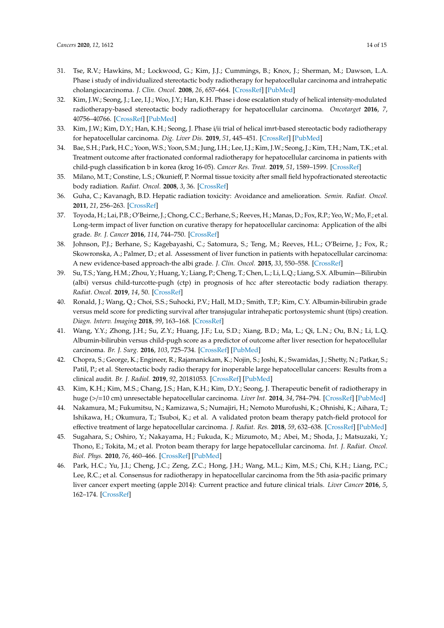- <span id="page-13-0"></span>31. Tse, R.V.; Hawkins, M.; Lockwood, G.; Kim, J.J.; Cummings, B.; Knox, J.; Sherman, M.; Dawson, L.A. Phase i study of individualized stereotactic body radiotherapy for hepatocellular carcinoma and intrahepatic cholangiocarcinoma. *J. Clin. Oncol.* **2008**, *26*, 657–664. [\[CrossRef\]](http://dx.doi.org/10.1200/JCO.2007.14.3529) [\[PubMed\]](http://www.ncbi.nlm.nih.gov/pubmed/18172187)
- <span id="page-13-1"></span>32. Kim, J.W.; Seong, J.; Lee, I.J.; Woo, J.Y.; Han, K.H. Phase i dose escalation study of helical intensity-modulated radiotherapy-based stereotactic body radiotherapy for hepatocellular carcinoma. *Oncotarget* **2016**, *7*, 40756–40766. [\[CrossRef\]](http://dx.doi.org/10.18632/oncotarget.9450) [\[PubMed\]](http://www.ncbi.nlm.nih.gov/pubmed/27213593)
- <span id="page-13-2"></span>33. Kim, J.W.; Kim, D.Y.; Han, K.H.; Seong, J. Phase i/ii trial of helical imrt-based stereotactic body radiotherapy for hepatocellular carcinoma. *Dig. Liver Dis.* **2019**, *51*, 445–451. [\[CrossRef\]](http://dx.doi.org/10.1016/j.dld.2018.11.004) [\[PubMed\]](http://www.ncbi.nlm.nih.gov/pubmed/30503296)
- <span id="page-13-3"></span>34. Bae, S.H.; Park, H.C.; Yoon, W.S.; Yoon, S.M.; Jung, I.H.; Lee, I.J.; Kim, J.W.; Seong, J.; Kim, T.H.; Nam, T.K.; et al. Treatment outcome after fractionated conformal radiotherapy for hepatocellular carcinoma in patients with child-pugh classification b in korea (krog 16-05). *Cancer Res. Treat.* **2019**, *51*, 1589–1599. [\[CrossRef\]](http://dx.doi.org/10.4143/crt.2018.687)
- <span id="page-13-4"></span>35. Milano, M.T.; Constine, L.S.; Okunieff, P. Normal tissue toxicity after small field hypofractionated stereotactic body radiation. *Radiat. Oncol.* **2008**, *3*, 36. [\[CrossRef\]](http://dx.doi.org/10.1186/1748-717X-3-36)
- <span id="page-13-5"></span>36. Guha, C.; Kavanagh, B.D. Hepatic radiation toxicity: Avoidance and amelioration. *Semin. Radiat. Oncol.* **2011**, *21*, 256–263. [\[CrossRef\]](http://dx.doi.org/10.1016/j.semradonc.2011.05.003)
- <span id="page-13-6"></span>37. Toyoda, H.; Lai, P.B.; O'Beirne, J.; Chong, C.C.; Berhane, S.; Reeves, H.; Manas, D.; Fox, R.P.; Yeo,W.; Mo, F.; et al. Long-term impact of liver function on curative therapy for hepatocellular carcinoma: Application of the albi grade. *Br. J. Cancer* **2016**, *114*, 744–750. [\[CrossRef\]](http://dx.doi.org/10.1038/bjc.2016.33)
- <span id="page-13-7"></span>38. Johnson, P.J.; Berhane, S.; Kagebayashi, C.; Satomura, S.; Teng, M.; Reeves, H.L.; O'Beirne, J.; Fox, R.; Skowronska, A.; Palmer, D.; et al. Assessment of liver function in patients with hepatocellular carcinoma: A new evidence-based approach-the albi grade. *J. Clin. Oncol.* **2015**, *33*, 550–558. [\[CrossRef\]](http://dx.doi.org/10.1200/JCO.2014.57.9151)
- <span id="page-13-8"></span>39. Su, T.S.; Yang, H.M.; Zhou, Y.; Huang, Y.; Liang, P.; Cheng, T.; Chen, L.; Li, L.Q.; Liang, S.X. Albumin—Bilirubin (albi) versus child-turcotte-pugh (ctp) in prognosis of hcc after stereotactic body radiation therapy. *Radiat. Oncol.* **2019**, *14*, 50. [\[CrossRef\]](http://dx.doi.org/10.1186/s13014-019-1251-y)
- <span id="page-13-9"></span>40. Ronald, J.; Wang, Q.; Choi, S.S.; Suhocki, P.V.; Hall, M.D.; Smith, T.P.; Kim, C.Y. Albumin-bilirubin grade versus meld score for predicting survival after transjugular intrahepatic portosystemic shunt (tips) creation. *Diagn. Interv. Imaging* **2018**, *99*, 163–168. [\[CrossRef\]](http://dx.doi.org/10.1016/j.diii.2017.10.008)
- <span id="page-13-10"></span>41. Wang, Y.Y.; Zhong, J.H.; Su, Z.Y.; Huang, J.F.; Lu, S.D.; Xiang, B.D.; Ma, L.; Qi, L.N.; Ou, B.N.; Li, L.Q. Albumin-bilirubin versus child-pugh score as a predictor of outcome after liver resection for hepatocellular carcinoma. *Br. J. Surg.* **2016**, *103*, 725–734. [\[CrossRef\]](http://dx.doi.org/10.1002/bjs.10095) [\[PubMed\]](http://www.ncbi.nlm.nih.gov/pubmed/27005482)
- <span id="page-13-11"></span>42. Chopra, S.; George, K.; Engineer, R.; Rajamanickam, K.; Nojin, S.; Joshi, K.; Swamidas, J.; Shetty, N.; Patkar, S.; Patil, P.; et al. Stereotactic body radio therapy for inoperable large hepatocellular cancers: Results from a clinical audit. *Br. J. Radiol.* **2019**, *92*, 20181053. [\[CrossRef\]](http://dx.doi.org/10.1259/bjr.20181053) [\[PubMed\]](http://www.ncbi.nlm.nih.gov/pubmed/31219706)
- <span id="page-13-12"></span>43. Kim, K.H.; Kim, M.S.; Chang, J.S.; Han, K.H.; Kim, D.Y.; Seong, J. Therapeutic benefit of radiotherapy in huge (>/=10 cm) unresectable hepatocellular carcinoma. *Liver Int.* **2014**, *34*, 784–794. [\[CrossRef\]](http://dx.doi.org/10.1111/liv.12436) [\[PubMed\]](http://www.ncbi.nlm.nih.gov/pubmed/24330457)
- <span id="page-13-13"></span>44. Nakamura, M.; Fukumitsu, N.; Kamizawa, S.; Numajiri, H.; Nemoto Murofushi, K.; Ohnishi, K.; Aihara, T.; Ishikawa, H.; Okumura, T.; Tsuboi, K.; et al. A validated proton beam therapy patch-field protocol for effective treatment of large hepatocellular carcinoma. *J. Radiat. Res.* **2018**, *59*, 632–638. [\[CrossRef\]](http://dx.doi.org/10.1093/jrr/rry056) [\[PubMed\]](http://www.ncbi.nlm.nih.gov/pubmed/30085200)
- <span id="page-13-14"></span>45. Sugahara, S.; Oshiro, Y.; Nakayama, H.; Fukuda, K.; Mizumoto, M.; Abei, M.; Shoda, J.; Matsuzaki, Y.; Thono, E.; Tokita, M.; et al. Proton beam therapy for large hepatocellular carcinoma. *Int. J. Radiat. Oncol. Biol. Phys.* **2010**, *76*, 460–466. [\[CrossRef\]](http://dx.doi.org/10.1016/j.ijrobp.2009.02.030) [\[PubMed\]](http://www.ncbi.nlm.nih.gov/pubmed/19427743)
- <span id="page-13-15"></span>46. Park, H.C.; Yu, J.I.; Cheng, J.C.; Zeng, Z.C.; Hong, J.H.; Wang, M.L.; Kim, M.S.; Chi, K.H.; Liang, P.C.; Lee, R.C.; et al. Consensus for radiotherapy in hepatocellular carcinoma from the 5th asia-pacific primary liver cancer expert meeting (apple 2014): Current practice and future clinical trials. *Liver Cancer* **2016**, *5*, 162–174. [\[CrossRef\]](http://dx.doi.org/10.1159/000367766)